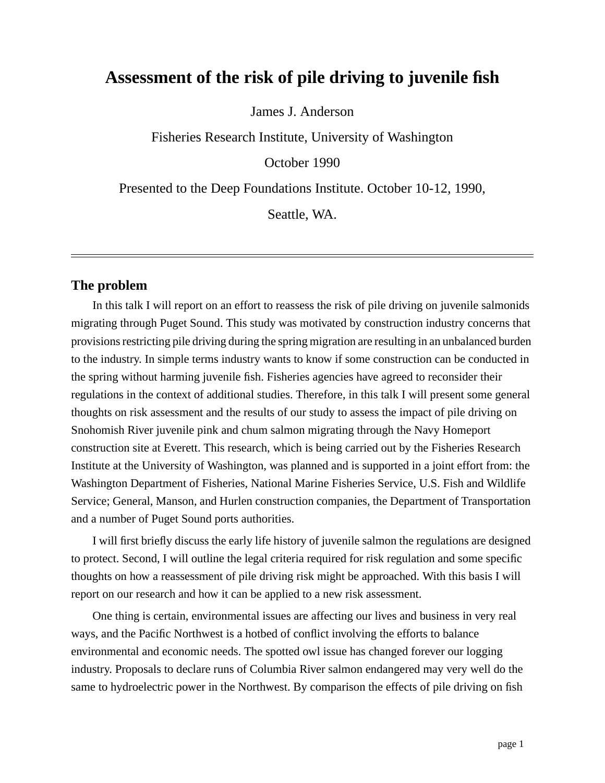# **Assessment of the risk of pile driving to juvenile fish**

James J. Anderson

Fisheries Research Institute, University of Washington

October 1990

Presented to the Deep Foundations Institute. October 10-12, 1990,

Seattle, WA.

#### **The problem**

In this talk I will report on an effort to reassess the risk of pile driving on juvenile salmonids migrating through Puget Sound. This study was motivated by construction industry concerns that provisions restricting pile driving during the spring migration are resulting in an unbalanced burden to the industry. In simple terms industry wants to know if some construction can be conducted in the spring without harming juvenile fish. Fisheries agencies have agreed to reconsider their regulations in the context of additional studies. Therefore, in this talk I will present some general thoughts on risk assessment and the results of our study to assess the impact of pile driving on Snohomish River juvenile pink and chum salmon migrating through the Navy Homeport construction site at Everett. This research, which is being carried out by the Fisheries Research Institute at the University of Washington, was planned and is supported in a joint effort from: the Washington Department of Fisheries, National Marine Fisheries Service, U.S. Fish and Wildlife Service; General, Manson, and Hurlen construction companies, the Department of Transportation and a number of Puget Sound ports authorities.

I will first briefly discuss the early life history of juvenile salmon the regulations are designed to protect. Second, I will outline the legal criteria required for risk regulation and some specific thoughts on how a reassessment of pile driving risk might be approached. With this basis I will report on our research and how it can be applied to a new risk assessment.

One thing is certain, environmental issues are affecting our lives and business in very real ways, and the Pacific Northwest is a hotbed of conflict involving the efforts to balance environmental and economic needs. The spotted owl issue has changed forever our logging industry. Proposals to declare runs of Columbia River salmon endangered may very well do the same to hydroelectric power in the Northwest. By comparison the effects of pile driving on fish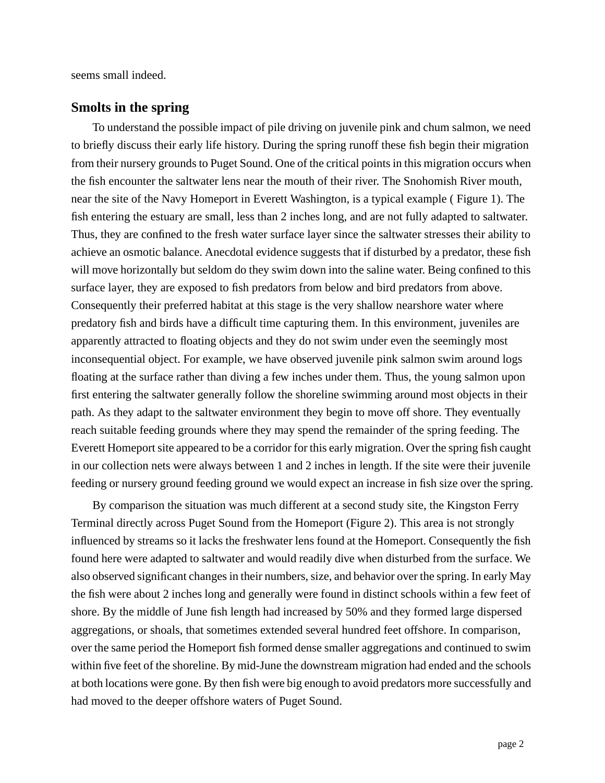seems small indeed.

### **Smolts in the spring**

To understand the possible impact of pile driving on juvenile pink and chum salmon, we need to briefly discuss their early life history. During the spring runoff these fish begin their migration from their nursery grounds to Puget Sound. One of the critical points in this migration occurs when the fish encounter the saltwater lens near the mouth of their river. The Snohomish River mouth, near the site of the Navy Homeport in Everett Washington, is a typical example ( [Figure 1\).](#page-2-0) The fish entering the estuary are small, less than 2 inches long, and are not fully adapted to saltwater. Thus, they are confined to the fresh water surface layer since the saltwater stresses their ability to achieve an osmotic balance. Anecdotal evidence suggests that if disturbed by a predator, these fish will move horizontally but seldom do they swim down into the saline water. Being confined to this surface layer, they are exposed to fish predators from below and bird predators from above. Consequently their preferred habitat at this stage is the very shallow nearshore water where predatory fish and birds have a difficult time capturing them. In this environment, juveniles are apparently attracted to floating objects and they do not swim under even the seemingly most inconsequential object. For example, we have observed juvenile pink salmon swim around logs floating at the surface rather than diving a few inches under them. Thus, the young salmon upon first entering the saltwater generally follow the shoreline swimming around most objects in their path. As they adapt to the saltwater environment they begin to move off shore. They eventually reach suitable feeding grounds where they may spend the remainder of the spring feeding. The Everett Homeport site appeared to be a corridor for this early migration. Over the spring fish caught in our collection nets were always between 1 and 2 inches in length. If the site were their juvenile feeding or nursery ground feeding ground we would expect an increase in fish size over the spring.

By comparison the situation was much different at a second study site, the Kingston Ferry Terminal directly across Puget Sound from the Homeport (Figure 2). This area is not strongly influenced by streams so it lacks the freshwater lens found at the Homeport. Consequently the fish found here were adapted to saltwater and would readily dive when disturbed from the surface. We also observed significant changes in their numbers, size, and behavior over the spring. In early May the fish were about 2 inches long and generally were found in distinct schools within a few feet of shore. By the middle of June fish length had increased by 50% and they formed large dispersed aggregations, or shoals, that sometimes extended several hundred feet offshore. In comparison, over the same period the Homeport fish formed dense smaller aggregations and continued to swim within five feet of the shoreline. By mid-June the downstream migration had ended and the schools at both locations were gone. By then fish were big enough to avoid predators more successfully and had moved to the deeper offshore waters of Puget Sound.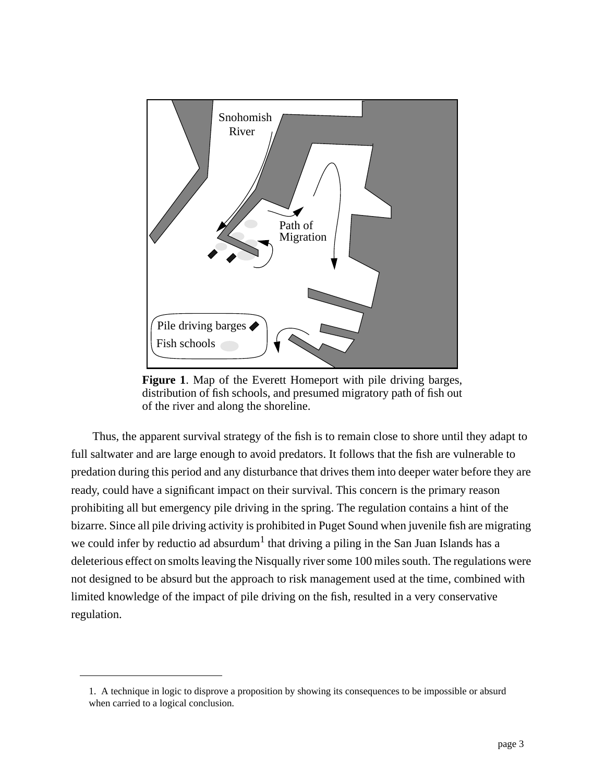<span id="page-2-0"></span>

**Figure 1**. Map of the Everett Homeport with pile driving barges, distribution of fish schools, and presumed migratory path of fish out of the river and along the shoreline.

Thus, the apparent survival strategy of the fish is to remain close to shore until they adapt to full saltwater and are large enough to avoid predators. It follows that the fish are vulnerable to predation during this period and any disturbance that drives them into deeper water before they are ready, could have a significant impact on their survival. This concern is the primary reason prohibiting all but emergency pile driving in the spring. The regulation contains a hint of the bizarre. Since all pile driving activity is prohibited in Puget Sound when juvenile fish are migrating we could infer by reductio ad absurdum $^{\rm l}$  that driving a piling in the San Juan Islands has a deleterious effect on smolts leaving the Nisqually river some 100 miles south. The regulations were not designed to be absurd but the approach to risk management used at the time, combined with limited knowledge of the impact of pile driving on the fish, resulted in a very conservative regulation.

<sup>1.</sup> A technique in logic to disprove a proposition by showing its consequences to be impossible or absurd when carried to a logical conclusion.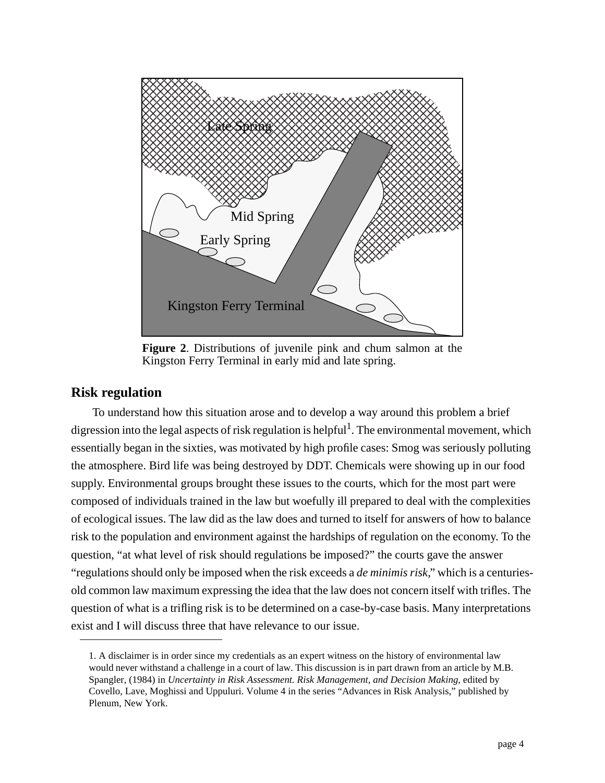

**Figure 2**. Distributions of juvenile pink and chum salmon at the Kingston Ferry Terminal in early mid and late spring.

### **Risk regulation**

To understand how this situation arose and to develop a way around this problem a brief digression into the legal aspects of risk regulation is helpful<sup>1</sup>. The environmental movement, which essentially began in the sixties, was motivated by high profile cases: Smog was seriously polluting the atmosphere. Bird life was being destroyed by DDT. Chemicals were showing up in our food supply. Environmental groups brought these issues to the courts, which for the most part were composed of individuals trained in the law but woefully ill prepared to deal with the complexities of ecological issues. The law did as the law does and turned to itself for answers of how to balance risk to the population and environment against the hardships of regulation on the economy. To the question, "at what level of risk should regulations be imposed?" the courts gave the answer "regulations should only be imposed when the risk exceeds a *de minimis risk*," which is a centuriesold common law maximum expressing the idea that the law does not concern itself with trifles. The question of what is a trifling risk is to be determined on a case-by-case basis. Many interpretations exist and I will discuss three that have relevance to our issue.

<sup>1.</sup> A disclaimer is in order since my credentials as an expert witness on the history of environmental law would never withstand a challenge in a court of law. This discussion is in part drawn from an article by M.B. Spangler, (1984) in *Uncertainty in Risk Assessment. Risk Management, and Decision Making*, edited by Covello, Lave, Moghissi and Uppuluri. Volume 4 in the series "Advances in Risk Analysis," published by Plenum, New York.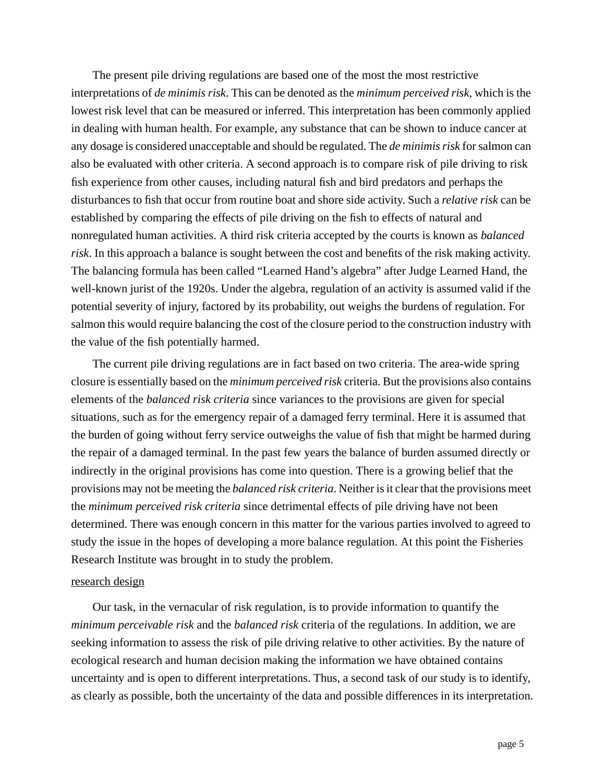The present pile driving regulations are based one of the most the most restrictive interpretations of *de minimis risk*. This can be denoted as the *minimum perceived risk*, which is the lowest risk level that can be measured or inferred. This interpretation has been commonly applied in dealing with human health. For example, any substance that can be shown to induce cancer at any dosage is considered unacceptable and should be regulated. The *de minimis risk* for salmon can also be evaluated with other criteria. A second approach is to compare risk of pile driving to risk fish experience from other causes, including natural fish and bird predators and perhaps the disturbances to fish that occur from routine boat and shore side activity. Such a *relative risk* can be established by comparing the effects of pile driving on the fish to effects of natural and nonregulated human activities. A third risk criteria accepted by the courts is known as *balanced risk*. In this approach a balance is sought between the cost and benefits of the risk making activity. The balancing formula has been called "Learned Hand's algebra" after Judge Learned Hand, the well-known jurist of the 1920s. Under the algebra, regulation of an activity is assumed valid if the potential severity of injury, factored by its probability, out weighs the burdens of regulation. For salmon this would require balancing the cost of the closure period to the construction industry with the value of the fish potentially harmed.

The current pile driving regulations are in fact based on two criteria. The area-wide spring closure is essentially based on the *minimum perceived risk* criteria. But the provisions also contains elements of the *balanced risk criteria* since variances to the provisions are given for special situations, such as for the emergency repair of a damaged ferry terminal. Here it is assumed that the burden of going without ferry service outweighs the value of fish that might be harmed during the repair of a damaged terminal. In the past few years the balance of burden assumed directly or indirectly in the original provisions has come into question. There is a growing belief that the provisions may not be meeting the *balanced risk criteria*. Neither is it clear that the provisions meet the *minimum perceived risk criteria* since detrimental effects of pile driving have not been determined. There was enough concern in this matter for the various parties involved to agreed to study the issue in the hopes of developing a more balance regulation. At this point the Fisheries Research Institute was brought in to study the problem.

#### research design

Our task, in the vernacular of risk regulation, is to provide information to quantify the *minimum perceivable risk* and the *balanced risk* criteria of the regulations. In addition, we are seeking information to assess the risk of pile driving relative to other activities. By the nature of ecological research and human decision making the information we have obtained contains uncertainty and is open to different interpretations. Thus, a second task of our study is to identify, as clearly as possible, both the uncertainty of the data and possible differences in its interpretation.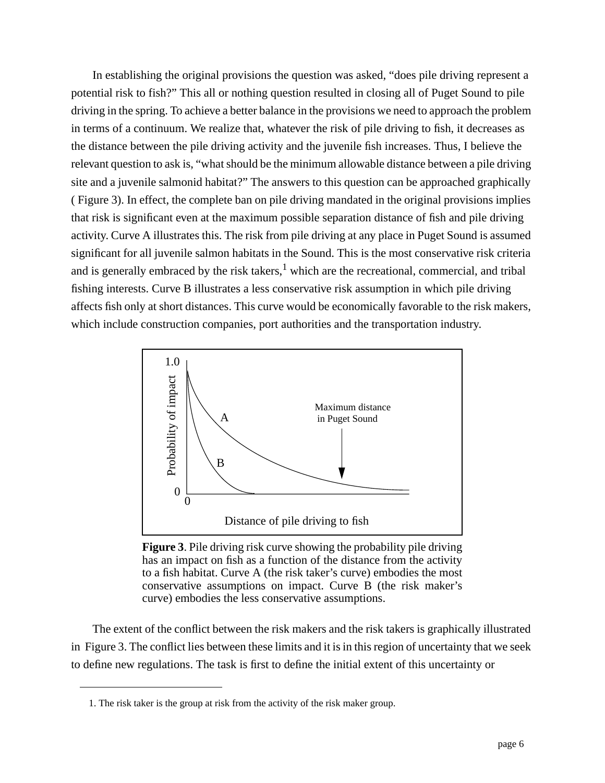In establishing the original provisions the question was asked, "does pile driving represent a potential risk to fish?" This all or nothing question resulted in closing all of Puget Sound to pile driving in the spring. To achieve a better balance in the provisions we need to approach the problem in terms of a continuum. We realize that, whatever the risk of pile driving to fish, it decreases as the distance between the pile driving activity and the juvenile fish increases. Thus, I believe the relevant question to ask is, "what should be the minimum allowable distance between a pile driving site and a juvenile salmonid habitat?" The answers to this question can be approached graphically ( Figure 3). In effect, the complete ban on pile driving mandated in the original provisions implies that risk is significant even at the maximum possible separation distance of fish and pile driving activity. Curve A illustrates this. The risk from pile driving at any place in Puget Sound is assumed significant for all juvenile salmon habitats in the Sound. This is the most conservative risk criteria and is generally embraced by the risk takers, $<sup>1</sup>$  which are the recreational, commercial, and tribal</sup> fishing interests. Curve B illustrates a less conservative risk assumption in which pile driving affects fish only at short distances. This curve would be economically favorable to the risk makers, which include construction companies, port authorities and the transportation industry.



**Figure 3**. Pile driving risk curve showing the probability pile driving has an impact on fish as a function of the distance from the activity to a fish habitat. Curve A (the risk taker's curve) embodies the most conservative assumptions on impact. Curve B (the risk maker's curve) embodies the less conservative assumptions.

The extent of the conflict between the risk makers and the risk takers is graphically illustrated in Figure 3. The conflict lies between these limits and it is in this region of uncertainty that we seek to define new regulations. The task is first to define the initial extent of this uncertainty or

<sup>1.</sup> The risk taker is the group at risk from the activity of the risk maker group.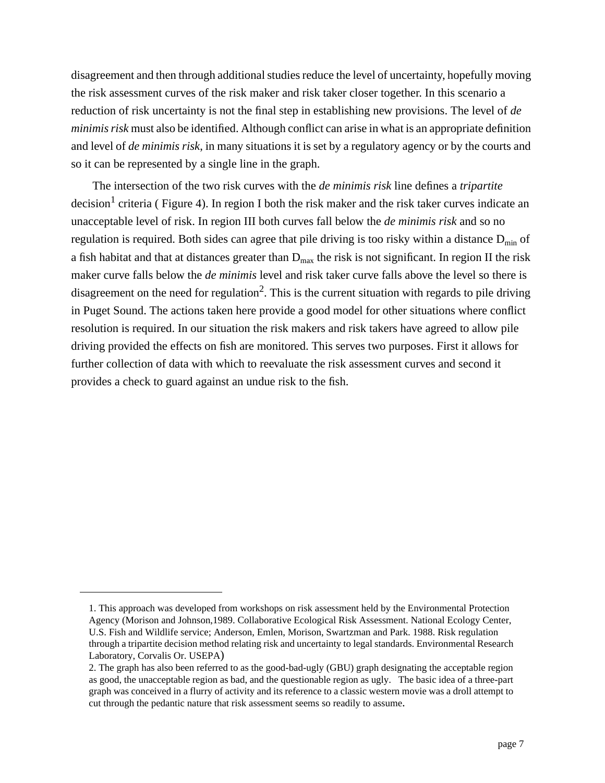disagreement and then through additional studies reduce the level of uncertainty, hopefully moving the risk assessment curves of the risk maker and risk taker closer together. In this scenario a reduction of risk uncertainty is not the final step in establishing new provisions. The level of *de minimis risk* must also be identified. Although conflict can arise in what is an appropriate definition and level of *de minimis risk*, in many situations it is set by a regulatory agency or by the courts and so it can be represented by a single line in the graph.

The intersection of the two risk curves with the *de minimis risk* line defines a *tripartite*  $\alpha$  decision<sup>1</sup> criteria ( [Figure 4\)](#page-7-0). In region I both the risk maker and the risk taker curves indicate an unacceptable level of risk. In region III both curves fall below the *de minimis risk* and so no regulation is required. Both sides can agree that pile driving is too risky within a distance  $D_{\text{min}}$  of a fish habitat and that at distances greater than  $D_{max}$  the risk is not significant. In region II the risk maker curve falls below the *de minimis* level and risk taker curve falls above the level so there is disagreement on the need for regulation<sup>2</sup>. This is the current situation with regards to pile driving in Puget Sound. The actions taken here provide a good model for other situations where conflict resolution is required. In our situation the risk makers and risk takers have agreed to allow pile driving provided the effects on fish are monitored. This serves two purposes. First it allows for further collection of data with which to reevaluate the risk assessment curves and second it provides a check to guard against an undue risk to the fish.

<sup>1.</sup> This approach was developed from workshops on risk assessment held by the Environmental Protection Agency (Morison and Johnson,1989. Collaborative Ecological Risk Assessment. National Ecology Center, U.S. Fish and Wildlife service; Anderson, Emlen, Morison, Swartzman and Park. 1988. Risk regulation through a tripartite decision method relating risk and uncertainty to legal standards. Environmental Research Laboratory, Corvalis Or. USEPA)

<sup>2.</sup> The graph has also been referred to as the good-bad-ugly (GBU) graph designating the acceptable region as good, the unacceptable region as bad, and the questionable region as ugly. The basic idea of a three-part graph was conceived in a flurry of activity and its reference to a classic western movie was a droll attempt to cut through the pedantic nature that risk assessment seems so readily to assume.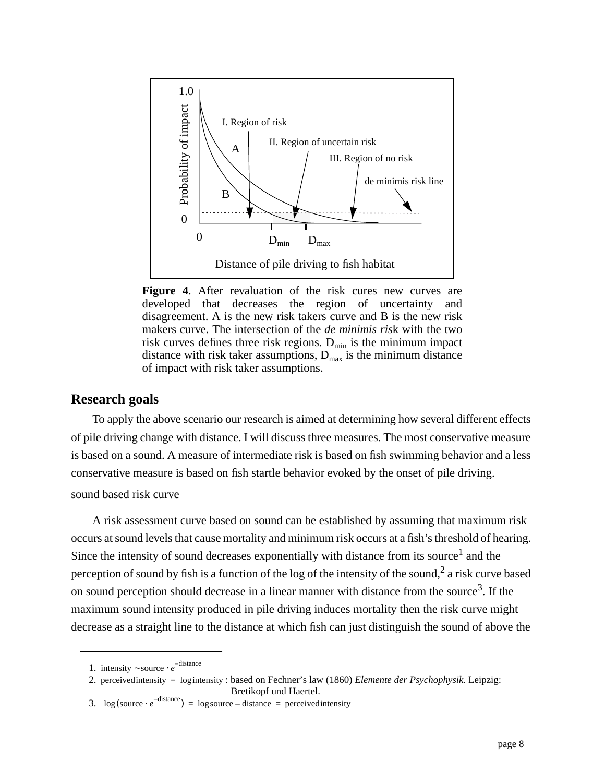<span id="page-7-0"></span>

**Figure 4**. After revaluation of the risk cures new curves are developed that decreases the region of uncertainty and disagreement. A is the new risk takers curve and B is the new risk makers curve. The intersection of the *de minimis ris*k with the two risk curves defines three risk regions.  $D_{\min}$  is the minimum impact distance with risk taker assumptions,  $D_{\text{max}}$  is the minimum distance of impact with risk taker assumptions.

#### **Research goals**

To apply the above scenario our research is aimed at determining how several different effects of pile driving change with distance. I will discuss three measures. The most conservative measure is based on a sound. A measure of intermediate risk is based on fish swimming behavior and a less conservative measure is based on fish startle behavior evoked by the onset of pile driving.

#### sound based risk curve

A risk assessment curve based on sound can be established by assuming that maximum risk occurs at sound levels that cause mortality and minimum risk occurs at a fish's threshold of hearing. Since the intensity of sound decreases exponentially with distance from its source<sup>1</sup> and the perception of sound by fish is a function of the log of the intensity of the sound,<sup>2</sup> a risk curve based on sound perception should decrease in a linear manner with distance from the source<sup>3</sup>. If the maximum sound intensity produced in pile driving induces mortality then the risk curve might decrease as a straight line to the distance at which fish can just distinguish the sound of above the

<sup>1.</sup> intensity ~ source  $\cdot e^{-distance}$ 

<sup>2.</sup> perceivedintensity = logintensity : based on Fechner's law (1860) *Elemente der Psychophysik*. Leipzig:

Bretikopf und Haertel.

<sup>3.</sup>  $\log(\text{source} \cdot e^{-\text{distance}}) = \log \text{source} - \text{distance} = \text{perceived intensity}$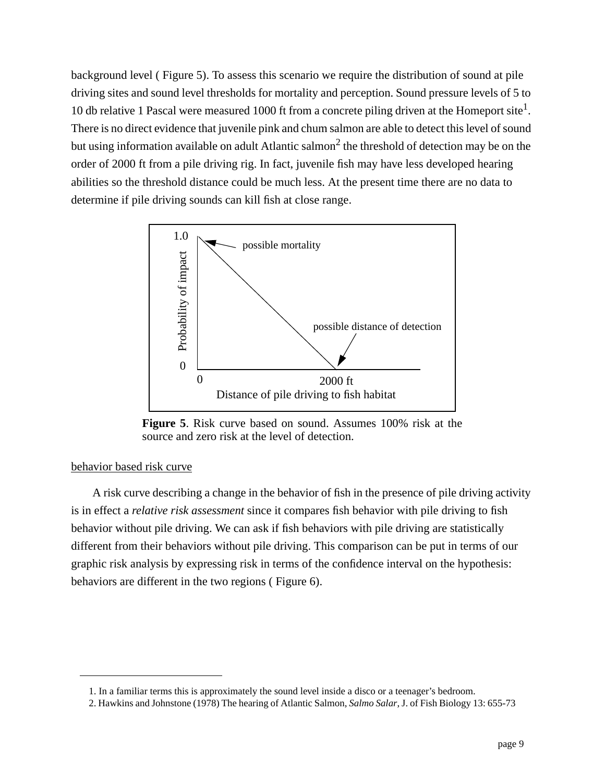background level ( Figure 5). To assess this scenario we require the distribution of sound at pile driving sites and sound level thresholds for mortality and perception. Sound pressure levels of 5 to 10 db relative 1 Pascal were measured 1000 ft from a concrete piling driven at the Homeport site<sup>1</sup>. There is no direct evidence that juvenile pink and chum salmon are able to detect this level of sound but using information available on adult Atlantic salmon<sup>2</sup> the threshold of detection may be on the order of 2000 ft from a pile driving rig. In fact, juvenile fish may have less developed hearing abilities so the threshold distance could be much less. At the present time there are no data to determine if pile driving sounds can kill fish at close range.



**Figure 5**. Risk curve based on sound. Assumes 100% risk at the source and zero risk at the level of detection.

#### behavior based risk curve

A risk curve describing a change in the behavior of fish in the presence of pile driving activity is in effect a *relative risk assessment* since it compares fish behavior with pile driving to fish behavior without pile driving. We can ask if fish behaviors with pile driving are statistically different from their behaviors without pile driving. This comparison can be put in terms of our graphic risk analysis by expressing risk in terms of the confidence interval on the hypothesis: behaviors are different in the two regions ( [Figure 6\).](#page-9-0)

<sup>1.</sup> In a familiar terms this is approximately the sound level inside a disco or a teenager's bedroom.

<sup>2.</sup> Hawkins and Johnstone (1978) The hearing of Atlantic Salmon, *Salmo Salar*, J. of Fish Biology 13: 655-73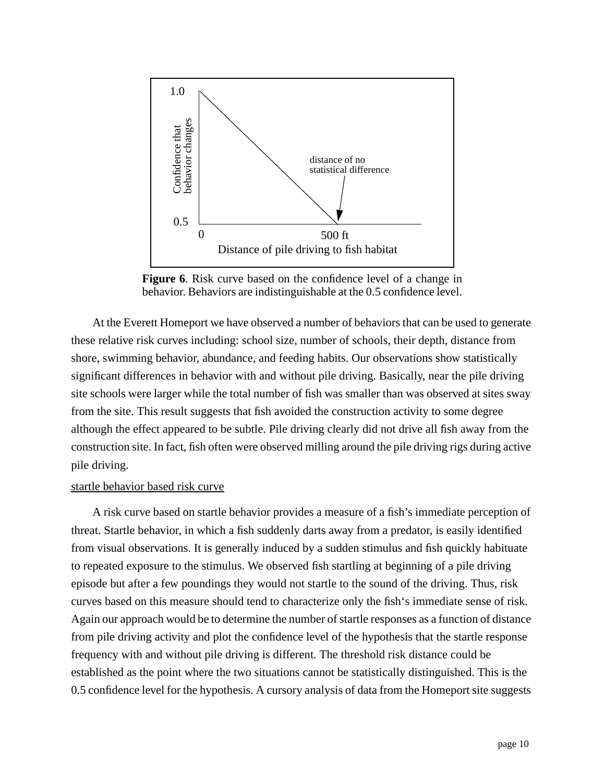<span id="page-9-0"></span>

**Figure 6**. Risk curve based on the confidence level of a change in behavior. Behaviors are indistinguishable at the 0.5 confidence level.

At the Everett Homeport we have observed a number of behaviors that can be used to generate these relative risk curves including: school size, number of schools, their depth, distance from shore, swimming behavior, abundance, and feeding habits. Our observations show statistically significant differences in behavior with and without pile driving. Basically, near the pile driving site schools were larger while the total number of fish was smaller than was observed at sites sway from the site. This result suggests that fish avoided the construction activity to some degree although the effect appeared to be subtle. Pile driving clearly did not drive all fish away from the construction site. In fact, fish often were observed milling around the pile driving rigs during active pile driving.

#### startle behavior based risk curve

A risk curve based on startle behavior provides a measure of a fish's immediate perception of threat. Startle behavior, in which a fish suddenly darts away from a predator, is easily identified from visual observations. It is generally induced by a sudden stimulus and fish quickly habituate to repeated exposure to the stimulus. We observed fish startling at beginning of a pile driving episode but after a few poundings they would not startle to the sound of the driving. Thus, risk curves based on this measure should tend to characterize only the fish's immediate sense of risk. Again our approach would be to determine the number of startle responses as a function of distance from pile driving activity and plot the confidence level of the hypothesis that the startle response frequency with and without pile driving is different. The threshold risk distance could be established as the point where the two situations cannot be statistically distinguished. This is the 0.5 confidence level for the hypothesis. A cursory analysis of data from the Homeport site suggests